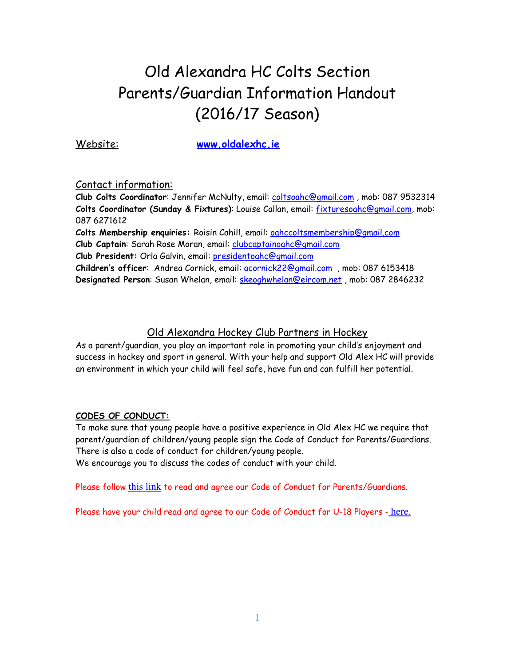# Old Alexandra HC Colts Section Parents/Guardian Information Handout (2016/17 Season)

Website: **[www.oldalexhc.ie](http://www.oldalexhc.ie)**

Contact information:

**Club Colts Coordinator**: Jennifer McNulty, email: [coltsoahc@gmail.com](mailto:coltsoahc@gmail.com) , mob: 087 9532314 **Colts Coordinator (Sunday & Fixtures)**: Louise Callan, email: [fixturesoahc@gmail.com,](mailto:fixturesoahc@gmail.com) mob: 087 6271612

**Colts Membership enquiries:** Roisin Cahill, email: [oahccoltsmembership@gmail.com](mailto:oahccoltsmembership@gmail.com) **Club Captain**: Sarah Rose Moran, email: [clubcaptainoahc@gmail.com](mailto:clubcaptainoahc@gmail.com) **Club President:** Orla Galvin, email: [presidentoahc@gmail.com](mailto:presidentoahc@gmail.com) **Children's officer**: Andrea Cornick, email: [acornick22@gmail.com](mailto:acornick22@gmail.com) , mob: 087 6153418

**Designated Person**: Susan Whelan, email: [skeoghwhelan@eircom.net](mailto:skeoghwhelan@eircom.net) , mob: 087 2846232

# Old Alexandra Hockey Club Partners in Hockey

As a parent/guardian, you play an important role in promoting your child's enjoyment and success in hockey and sport in general. With your help and support Old Alex HC will provide an environment in which your child will feel safe, have fun and can fulfill her potential.

# **CODES OF CONDUCT:**

To make sure that young people have a positive experience in Old Alex HC we require that parent/guardian of children/young people sign the Code of Conduct for Parents/Guardians. There is also a code of conduct for children/young people.

We encourage you to discuss the codes of conduct with your child.

Please follow [this link](https://temporaryhockey123.files.wordpress.com/2016/08/old-alex-hc-code-of-conduct-for-parents-guardians-1.pdf) to read and agree our Code of Conduct for Parents/Guardians.

Please have your child read and agree to our Code of Conduct for U-18 Players - [here.](https://temporaryhockey123.files.wordpress.com/2016/08/old-alex-hc-code-of-conduct-for-under-18-players-1.pdf)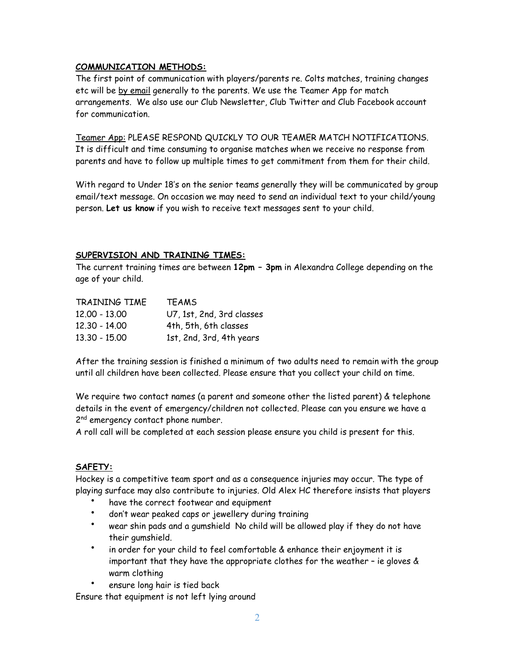## **COMMUNICATION METHODS:**

The first point of communication with players/parents re. Colts matches, training changes etc will be by email generally to the parents. We use the Teamer App for match arrangements. We also use our Club Newsletter, Club Twitter and Club Facebook account for communication.

Teamer App: PLEASE RESPOND QUICKLY TO OUR TEAMER MATCH NOTIFICATIONS. It is difficult and time consuming to organise matches when we receive no response from parents and have to follow up multiple times to get commitment from them for their child.

With regard to Under 18's on the senior teams generally they will be communicated by group email/text message. On occasion we may need to send an individual text to your child/young person. **Let us know** if you wish to receive text messages sent to your child.

## **SUPERVISION AND TRAINING TIMES:**

The current training times are between **12pm – 3pm** in Alexandra College depending on the age of your child.

| TRAINING TIME | <b>TEAMS</b>              |
|---------------|---------------------------|
| 12.00 - 13.00 | U7, 1st, 2nd, 3rd classes |
| 12.30 - 14.00 | 4th, 5th, 6th classes     |
| 13.30 - 15.00 | 1st, 2nd, 3rd, 4th years  |

After the training session is finished a minimum of two adults need to remain with the group until all children have been collected. Please ensure that you collect your child on time.

We require two contact names (a parent and someone other the listed parent) & telephone details in the event of emergency/children not collected. Please can you ensure we have a 2<sup>nd</sup> emergency contact phone number.

A roll call will be completed at each session please ensure you child is present for this.

## **SAFETY:**

Hockey is a competitive team sport and as a consequence injuries may occur. The type of playing surface may also contribute to injuries. Old Alex HC therefore insists that players

- have the correct footwear and equipment
- don't wear peaked caps or jewellery during training
- wear shin pads and a gumshield No child will be allowed play if they do not have their gumshield.
- in order for your child to feel comfortable & enhance their enjoyment it is important that they have the appropriate clothes for the weather – ie gloves & warm clothing
- ensure long hair is tied back

Ensure that equipment is not left lying around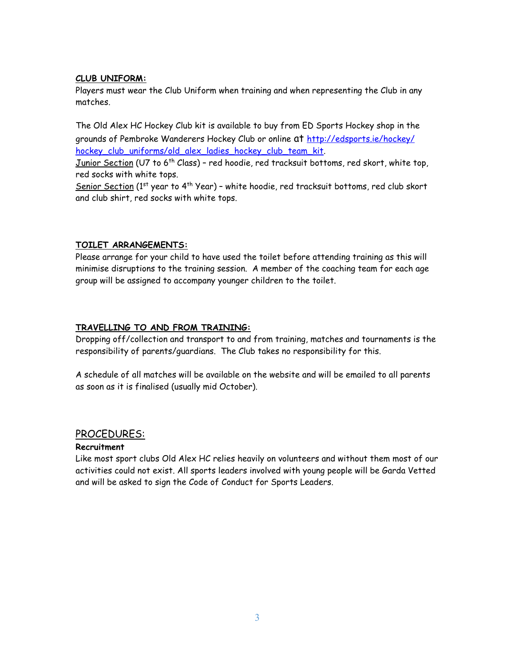# **CLUB UNIFORM:**

Players must wear the Club Uniform when training and when representing the Club in any matches.

The Old Alex HC Hockey Club kit is available to buy from ED Sports Hockey shop in the [grounds of Pembroke Wanderers Hockey Club or online at http://edsports.ie/hockey/](http://edsports.ie/hockey/hockey_club_uniforms/old_alex_ladies_hockey_club_team_kit) hockey\_club\_uniforms/old\_alex\_ladies\_hockey\_club\_team\_kit.

Junior Section (U7 to 6<sup>th</sup> Class) - red hoodie, red tracksuit bottoms, red skort, white top, red socks with white tops.

Senior Section (1st year to 4<sup>th</sup> Year) - white hoodie, red tracksuit bottoms, red club skort and club shirt, red socks with white tops.

# **TOILET ARRANGEMENTS:**

Please arrange for your child to have used the toilet before attending training as this will minimise disruptions to the training session. A member of the coaching team for each age group will be assigned to accompany younger children to the toilet.

## **TRAVELLING TO AND FROM TRAINING:**

Dropping off/collection and transport to and from training, matches and tournaments is the responsibility of parents/guardians. The Club takes no responsibility for this.

A schedule of all matches will be available on the website and will be emailed to all parents as soon as it is finalised (usually mid October).

# PROCEDURES:

## **Recruitment**

Like most sport clubs Old Alex HC relies heavily on volunteers and without them most of our activities could not exist. All sports leaders involved with young people will be Garda Vetted and will be asked to sign the Code of Conduct for Sports Leaders.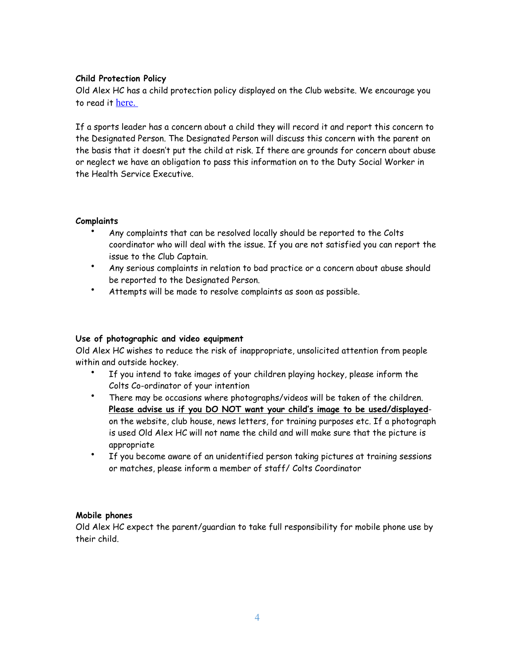## **Child Protection Policy**

Old Alex HC has a child protection policy displayed on the Club website. We encourage you to read it [here.](https://temporaryhockey123.files.wordpress.com/2016/02/old_alex_child_protection_policy_sep2011.pdf) 

If a sports leader has a concern about a child they will record it and report this concern to the Designated Person. The Designated Person will discuss this concern with the parent on the basis that it doesn't put the child at risk. If there are grounds for concern about abuse or neglect we have an obligation to pass this information on to the Duty Social Worker in the Health Service Executive.

#### **Complaints**

- Any complaints that can be resolved locally should be reported to the Colts coordinator who will deal with the issue. If you are not satisfied you can report the issue to the Club Captain.
- Any serious complaints in relation to bad practice or a concern about abuse should be reported to the Designated Person.
- Attempts will be made to resolve complaints as soon as possible.

## **Use of photographic and video equipment**

Old Alex HC wishes to reduce the risk of inappropriate, unsolicited attention from people within and outside hockey.

- If you intend to take images of your children playing hockey, please inform the Colts Co-ordinator of your intention
- There may be occasions where photographs/videos will be taken of the children. **Please advise us if you DO NOT want your child's image to be used/displayed**on the website, club house, news letters, for training purposes etc. If a photograph is used Old Alex HC will not name the child and will make sure that the picture is appropriate
- If you become aware of an unidentified person taking pictures at training sessions or matches, please inform a member of staff/ Colts Coordinator

#### **Mobile phones**

Old Alex HC expect the parent/guardian to take full responsibility for mobile phone use by their child.